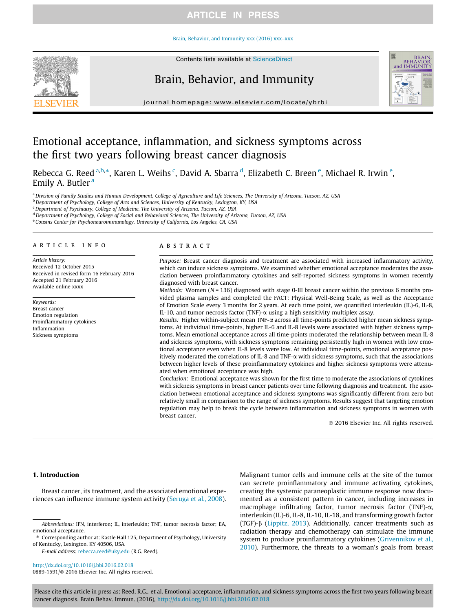## Brain, Behavior, and Immunity xxx (2016) xxx–xxx



# Brain, Behavior, and Immunity



journal homepage: www.elsevier.com/locate/ybrbi

# Emotional acceptance, inflammation, and sickness symptoms across the first two years following breast cancer diagnosis

Rebecca G. Reed <sup>a,b,</sup>\*, Karen L. Weihs <sup>c</sup>, David A. Sbarra <sup>d</sup>, Elizabeth C. Breen <sup>e</sup>, Michael R. Irwin <sup>e</sup>, Emily A. Butler<sup>a</sup>

a Division of Family Studies and Human Development, College of Agriculture and Life Sciences, The University of Arizona, Tucson, AZ, USA

 $^{\rm b}$  Department of Psychology, College of Arts and Sciences, University of Kentucky, Lexington, KY, USA

<sup>c</sup> Department of Psychiatry, College of Medicine, The University of Arizona, Tucson, AZ, USA

<sup>d</sup> Department of Psychology, College of Social and Behavioral Sciences, The University of Arizona, Tucson, AZ, USA

e Cousins Center for Psychoneuroimmunology, University of California, Los Angeles, CA, USA

### article info

Article history: Received 12 October 2015 Received in revised form 16 February 2016 Accepted 21 February 2016 Available online xxxx

Keywords: Breast cancer Emotion regulation Proinflammatory cytokines Inflammation Sickness symptoms

#### ABSTRACT

Purpose: Breast cancer diagnosis and treatment are associated with increased inflammatory activity, which can induce sickness symptoms. We examined whether emotional acceptance moderates the association between proinflammatory cytokines and self-reported sickness symptoms in women recently diagnosed with breast cancer.

Methods: Women ( $N = 136$ ) diagnosed with stage 0-III breast cancer within the previous 6 months provided plasma samples and completed the FACT: Physical Well-Being Scale, as well as the Acceptance of Emotion Scale every 3 months for 2 years. At each time point, we quantified interleukin (IL)-6, IL-8, IL-10, and tumor necrosis factor (TNF)- $\alpha$  using a high sensitivity multiplex assay.

Results: Higher within-subject mean TNF- $\alpha$  across all time-points predicted higher mean sickness symptoms. At individual time-points, higher IL-6 and IL-8 levels were associated with higher sickness symptoms. Mean emotional acceptance across all time-points moderated the relationship between mean IL-8 and sickness symptoms, with sickness symptoms remaining persistently high in women with low emotional acceptance even when IL-8 levels were low. At individual time-points, emotional acceptance positively moderated the correlations of IL-8 and TNF-a with sickness symptoms, such that the associations between higher levels of these proinflammatory cytokines and higher sickness symptoms were attenuated when emotional acceptance was high.

Conclusion: Emotional acceptance was shown for the first time to moderate the associations of cytokines with sickness symptoms in breast cancer patients over time following diagnosis and treatment. The association between emotional acceptance and sickness symptoms was significantly different from zero but relatively small in comparison to the range of sickness symptoms. Results suggest that targeting emotion regulation may help to break the cycle between inflammation and sickness symptoms in women with breast cancer.

2016 Elsevier Inc. All rights reserved.

## 1. Introduction

Breast cancer, its treatment, and the associated emotional experiences can influence immune system activity (Seruga et al., 2008).

E-mail address: rebecca.reed@uky.edu (R.G. Reed).

http://dx.doi.org/10.1016/j.bbi.2016.02.018 0889-1591/@ 2016 Elsevier Inc. All rights reserved. Malignant tumor cells and immune cells at the site of the tumor can secrete proinflammatory and immune activating cytokines, creating the systemic paraneoplastic immune response now documented as a consistent pattern in cancer, including increases in macrophage infiltrating factor, tumor necrosis factor (TNF)-a, interleukin (IL)-6, IL-8, IL-10, IL-18, and transforming growth factor (TGF)-b (Lippitz, 2013). Additionally, cancer treatments such as radiation therapy and chemotherapy can stimulate the immune system to produce proinflammatory cytokines (Grivennikov et al., 2010). Furthermore, the threats to a woman's goals from breast

Abbreviations: IFN, interferon; IL, interleukin; TNF, tumor necrosis factor; EA, emotional acceptance.

<sup>⇑</sup> Corresponding author at: Kastle Hall 125, Department of Psychology, University of Kentucky, Lexington, KY 40506, USA.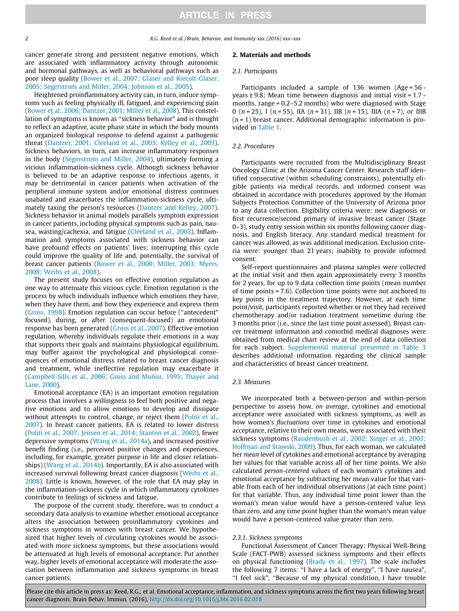cancer generate strong and persistent negative emotions, which are associated with inflammatory activity through autonomic and hormonal pathways, as well as behavioral pathways such as poor sleep quality (Bower et al., 2007; Glaser and Kiecolt-Glaser, 2005; Segerstrom and Miller, 2004; Johnson et al., 2005).

Heightened proinflammatory activity can, in turn, induce symptoms such as feeling physically ill, fatigued, and experiencing pain (Bower et al., 2006; Dantzer, 2001; Miller et al., 2008). This constellation of symptoms is known as ''sickness behavior" and is thought to reflect an adaptive, acute phase state in which the body mounts an organized biological response to defend against a pathogenic threat (Dantzer, 2001; Cleeland et al., 2003; Kelley et al., 2003). Sickness behaviors, in turn, can increase inflammatory responses in the body (Segerstrom and Miller, 2004), ultimately forming a vicious inflammation-sickness cycle. Although sickness behavior is believed to be an adaptive response to infectious agents, it may be detrimental in cancer patients when activation of the peripheral immune system and/or emotional distress continues unabated and exacerbates the inflammation-sickness cycle, ultimately taxing the person's resources (Dantzer and Kelley, 2007). Sickness behavior in animal models parallels symptom expression in cancer patients, including physical symptoms such as pain, nausea, wasting/cachexia, and fatigue (Cleeland et al., 2003). Inflammation and symptoms associated with sickness behavior can have profound effects on patients' lives; interrupting this cycle could improve the quality of life and, potentially, the survival of breast cancer patients (Bower et al., 2000; Miller, 2003; Myers, 2008; Weihs et al., 2008).

The present study focuses on effective emotion regulation as one way to attenuate this vicious cycle. Emotion regulation is the process by which individuals influence which emotions they have, when they have them, and how they experience and express them (Gross, 1998). Emotion regulation can occur before (''antecedent" focused), during, or after (consequent-focused) an emotional response has been generated (Gross et al., 2007). Effective emotion regulation, whereby individuals regulate their emotions in a way that supports their goals and maintains physiological equilibrium, may buffer against the psychological and physiological consequences of emotional distress related to breast cancer diagnosis and treatment, while ineffective regulation may exacerbate it (Campbell-Sills et al., 2006; Gross and Muñoz, 1995; Thayer and Lane, 2000).

Emotional acceptance (EA) is an important emotion regulation process that involves a willingness to feel both positive and negative emotions and to allow emotions to develop and dissipate without attempts to control, change, or reject them (Politi et al., 2007). In breast cancer patients, EA is related to lower distress (Politi et al., 2007; Jensen et al., 2014; Stanton et al., 2002), fewer depressive symptoms (Wang et al., 2014a), and increased positive benefit finding (i.e., perceived positive changes and experiences, including, for example, greater purpose in life and closer relationships) (Wang et al., 2014b). Importantly, EA is also associated with increased survival following breast cancer diagnosis (Weihs et al., 2008). Little is known, however, of the role that EA may play in the inflammation-sickness cycle in which inflammatory cytokines contribute to feelings of sickness and fatigue.

The purpose of the current study, therefore, was to conduct a secondary data analysis to examine whether emotional acceptance alters the association between proinflammatory cytokines and sickness symptoms in women with breast cancer. We hypothesized that higher levels of circulating cytokines would be associated with more sickness symptoms, but these associations would be attenuated at high levels of emotional acceptance. Put another way, higher levels of emotional acceptance will moderate the association between inflammation and sickness symptoms in breast cancer patients.

## 2. Materials and methods

### 2.1. Participants

Participants included a sample of 136 women (Age = 56 years ± 9.8; Mean time between diagnosis and initial visit = 1.7 months, range = 0.2–5.2 months) who were diagnosed with Stage 0 (n = 25), I (n = 55), IIA (n = 31), IIB (n = 15), IIIA (n = 7), or IIIB  $(n = 1)$  breast cancer. Additional demographic information is provided in Table 1.

### 2.2. Procedures

Participants were recruited from the Multidisciplinary Breast Oncology Clinic at the Arizona Cancer Center. Research staff identified consecutive (within scheduling constraints), potentially eligible patients via medical records, and informed consent was obtained in accordance with procedures approved by the Human Subjects Protection Committee of the University of Arizona prior to any data collection. Eligibility criteria were: new diagnosis or first recurrence/second primary of invasive breast cancer (Stage 0–3), study entry session within six months following cancer diagnosis, and English literacy. Any standard medical treatment for cancer was allowed, as was additional medication. Exclusion criteria were: younger than 21 years; inability to provide informed consent.

Self-report questionnaires and plasma samples were collected at the initial visit and then again approximately every 3 months for 2 years, for up to 9 data collection time points (mean number of time points = 7.6). Collection time points were not anchored to key points in the treatment trajectory. However, at each time point/visit, participants reported whether or not they had received chemotherapy and/or radiation treatment sometime during the 3 months prior (i.e., since the last time point assessed). Breast cancer treatment information and comorbid medical diagnoses were obtained from medical chart review at the end of data collection for each subject. Supplemental material presented in Table 3 describes additional information regarding the clinical sample and characteristics of breast cancer treatment.

#### 2.3. Measures

We incorporated both a between-person and within-person perspective to assess how, on average, cytokines and emotional acceptance were associated with sickness symptoms, as well as how women's fluctuations over time in cytokines and emotional acceptance, relative to their own means, were associated with their sickness symptoms (Raudenbush et al., 2002; Singer et al., 2003; Hoffman and Stawski, 2009). Thus, for each woman, we calculated her mean level of cytokines and emotional acceptance by averaging her values for that variable across all of her time points. We also calculated person-centered values of each woman's cytokines and emotional acceptance by subtracting her mean value for that variable from each of her individual observations (at each time point) for that variable. Thus, any individual time point lower than the woman's mean value would have a person-centered value less than zero, and any time point higher than the woman's mean value would have a person-centered value greater than zero.

### 2.3.1. Sickness symptoms

Functional Assessment of Cancer Therapy: Physical Well-Being Scale (FACT-PWB) assessed sickness symptoms and their effects on physical functioning (Brady et al., 1997). The scale includes the following 7 items: ''I have a lack of energy", ''I have nausea", ''I feel sick", ''Because of my physical condition, I have trouble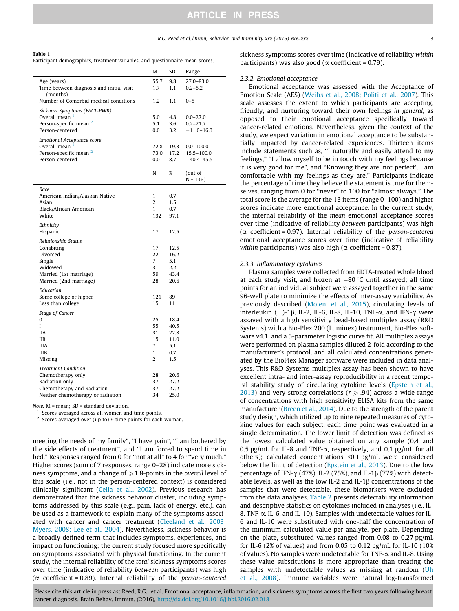#### Table 1

Participant demographics, treatment variables, and questionnaire mean scores.

|                                                                                                                                      | M                                              | SD                                                | Range                                                    |
|--------------------------------------------------------------------------------------------------------------------------------------|------------------------------------------------|---------------------------------------------------|----------------------------------------------------------|
| Age (years)<br>Time between diagnosis and initial visit<br>(months)                                                                  | 55.7<br>1.7                                    | 9.8<br>1.1                                        | 27.0-83.0<br>$0.2 - 5.2$                                 |
| Number of Comorbid medical conditions                                                                                                | 1.2                                            | 1.1                                               | $0 - 5$                                                  |
| Sickness Symptoms (FACT-PWB)<br>Overall mean <sup>1</sup><br>Person-specific mean <sup>2</sup><br>Person-centered                    | 5.0<br>5.1<br>0.0                              | 4.8<br>3.6<br>3.2                                 | $0.0 - 27.0$<br>$0.2 - 21.7$<br>$-11.0 - 16.3$           |
| <b>Emotional Acceptance score</b><br>Overall mean <sup>1</sup><br>Person-specific mean <sup>2</sup><br>Person-centered               | 72.8<br>73.0<br>$0.0\,$<br>N                   | 19.3<br>17.2<br>8.7<br>$\%$                       | $0.0 - 100.0$<br>15.5-100.0<br>$-40.4 - 45.5$<br>(out of |
|                                                                                                                                      |                                                |                                                   | $N = 136$                                                |
| Race<br>American Indian/Alaskan Native<br>Asian<br>Black/African American<br>White                                                   | $\mathbf{1}$<br>2<br>$\mathbf{1}$<br>132       | 0.7<br>1.5<br>0.7<br>97.1                         |                                                          |
| Ethnicity<br>Hispanic                                                                                                                | 17                                             | 12.5                                              |                                                          |
| <b>Relationship Status</b><br>Cohabiting<br>Divorced<br>Single<br>Widowed<br>Married (1st marriage)<br>Married (2nd marriage)        | 17<br>22<br>$\overline{7}$<br>3<br>59<br>28    | 12.5<br>16.2<br>5.1<br>2.2<br>43.4<br>20.6        |                                                          |
| Education<br>Some college or higher<br>Less than college                                                                             | 121<br>15                                      | 89<br>11                                          |                                                          |
| Stage of Cancer<br>0<br>L<br><b>IIA</b><br><b>IIB</b><br><b>IIIA</b><br><b>IIIB</b><br>Missing                                       | 25<br>55<br>31<br>15<br>7<br>$\mathbf{1}$<br>2 | 18.4<br>40.5<br>22.8<br>11.0<br>5.1<br>0.7<br>1.5 |                                                          |
| <b>Treatment Condition</b><br>Chemotherapy only<br>Radiation only<br>Chemotherapy and Radiation<br>Neither chemotherapy or radiation | 28<br>37<br>37<br>34                           | 20.6<br>27.2<br>27.2<br>25.0                      |                                                          |

Note.  $M =$  mean:  $SD =$  standard deviation.

Scores averaged across all women and time points.

Scores averaged over (up to) 9 time points for each woman.

meeting the needs of my family", "I have pain", "I am bothered by the side effects of treatment", and ''I am forced to spend time in bed." Responses ranged from 0 for ''not at all" to 4 for ''very much." Higher scores (sum of 7 responses, range 0–28) indicate more sickness symptoms, and a change of  $\geq 1.8$ -points in the overall level of this scale (i.e., not in the person-centered context) is considered clinically significant (Cella et al., 2002). Previous research has demonstrated that the sickness behavior cluster, including symptoms addressed by this scale (e.g., pain, lack of energy, etc.), can be used as a framework to explain many of the symptoms associated with cancer and cancer treatment (Cleeland et al., 2003; Myers, 2008; Lee et al., 2004). Nevertheless, sickness behavior is a broadly defined term that includes symptoms, experiences, and impact on functioning; the current study focused more specifically on symptoms associated with physical functioning. In the current study, the internal reliability of the total sickness symptoms scores over time (indicative of reliability between participants) was high ( $\alpha$  coefficient = 0.89). Internal reliability of the *person-centered*  sickness symptoms scores over time (indicative of reliability within participants) was also good ( $\alpha$  coefficient = 0.79).

#### 2.3.2. Emotional acceptance

Emotional acceptance was assessed with the Acceptance of Emotion Scale (AES) (Weihs et al., 2008; Politi et al., 2007). This scale assesses the extent to which participants are accepting, friendly, and nurturing toward their own feelings in general, as opposed to their emotional acceptance specifically toward cancer-related emotions. Nevertheless, given the context of the study, we expect variation in emotional acceptance to be substantially impacted by cancer-related experiences. Thirteen items include statements such as, ''I naturally and easily attend to my feelings," ''I allow myself to be in touch with my feelings because it is very good for me", and ''Knowing they are 'not perfect', I am comfortable with my feelings as they are." Participants indicate the percentage of time they believe the statement is true for themselves, ranging from 0 for "never" to 100 for "almost always." The total score is the average for the 13 items (range 0–100) and higher scores indicate more emotional acceptance. In the current study, the internal reliability of the mean emotional acceptance scores over time (indicative of reliability between participants) was high ( $\alpha$  coefficient = 0.97). Internal reliability of the person-centered emotional acceptance scores over time (indicative of reliability within participants) was also high ( $\alpha$  coefficient = 0.87).

### 2.3.3. Inflammatory cytokines

Plasma samples were collected from EDTA-treated whole blood at each study visit, and frozen at  $-80$  °C until assayed; all time points for an individual subject were assayed together in the same 96-well plate to minimize the effects of inter-assay variability. As previously described (Moieni et al., 2015), circulating levels of interleukin (IL)-1 $\beta$ , IL-2, IL-6, IL-8, IL-10, TNF- $\alpha$ , and IFN- $\gamma$  were assayed with a high sensitivity bead-based multiplex assay (R&D Systems) with a Bio-Plex 200 (Luminex) Instrument, Bio-Plex software v4.1, and a 5-parameter logistic curve fit. All multiplex assays were performed on plasma samples diluted 2-fold according to the manufacturer's protocol, and all calculated concentrations generated by the BioPlex Manager software were included in data analyses. This R&D Systems multiplex assay has been shown to have excellent intra- and inter-assay reproducibility in a recent temporal stability study of circulating cytokine levels (Epstein et al., 2013) and very strong correlations ( $r \ge 0.94$ ) across a wide range of concentrations with high sensitivity ELISA kits from the same manufacturer (Breen et al., 2014). Due to the strength of the parent study design, which utilized up to nine repeated measures of cytokine values for each subject, each time point was evaluated in a single determination. The lower limit of detection was defined as the lowest calculated value obtained on any sample (0.4 and 0.5 pg/mL for IL-8 and TNF- $\alpha$ , respectively, and 0.1 pg/mL for all others); calculated concentrations <0.1 pg/mL were considered below the limit of detection (Epstein et al., 2013). Due to the low percentage of IFN- $\gamma$  (47%), IL-2 (75%), and IL-1 $\beta$  (77%) with detectable levels, as well as the low IL-2 and IL-1 $\beta$  concentrations of the samples that were detectable, these biomarkers were excluded from the data analyses. Table 2 presents detectability information and descriptive statistics on cytokines included in analyses (i.e., IL-8, TNF-a, IL-6, and IL-10). Samples with undetectable values for IL-6 and IL-10 were substituted with one-half the concentration of the minimum calculated value per analyte, per plate. Depending on the plate, substituted values ranged from 0.08 to 0.27 pg/mL for IL-6 (2% of values) and from 0.05 to 0.12 pg/mL for IL-10 (10% of values). No samples were undetectable for TNF- $\alpha$  and IL-8. Using these value substitutions is more appropriate than treating the samples with undetectable values as missing at random (Uh et al., 2008). Immune variables were natural log-transformed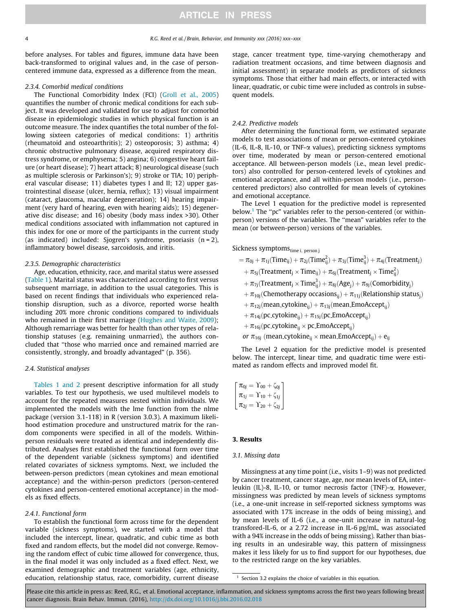before analyses. For tables and figures, immune data have been back-transformed to original values and, in the case of personcentered immune data, expressed as a difference from the mean.

## 2.3.4. Comorbid medical conditions

The Functional Comorbidity Index (FCI) (Groll et al., 2005) quantifies the number of chronic medical conditions for each subject. It was developed and validated for use to adjust for comorbid disease in epidemiologic studies in which physical function is an outcome measure. The index quantifies the total number of the following sixteen categories of medical conditions: 1) arthritis (rheumatoid and osteoarthritis); 2) osteoporosis; 3) asthma; 4) chronic obstructive pulmonary disease, acquired respiratory distress syndrome, or emphysema; 5) angina; 6) congestive heart failure (or heart disease); 7) heart attack; 8) neurological disease (such as multiple sclerosis or Parkinson's); 9) stroke or TIA; 10) peripheral vascular disease; 11) diabetes types I and II; 12) upper gastrointestinal disease (ulcer, hernia, reflux); 13) visual impairment (cataract, glaucoma, macular degeneration); 14) hearing impairment (very hard of hearing, even with hearing aids); 15) degenerative disc disease; and 16) obesity (body mass index >30). Other medical conditions associated with inflammation not captured in this index for one or more of the participants in the current study (as indicated) included: Sjogren's syndrome, psoriasis  $(n = 2)$ , inflammatory bowel disease, sarcoidosis, and iritis.

### 2.3.5. Demographic characteristics

Age, education, ethnicity, race, and marital status were assessed (Table 1). Marital status was characterized according to first versus subsequent marriage, in addition to the usual categories. This is based on recent findings that individuals who experienced relationship disruption, such as a divorce, reported worse health including 20% more chronic conditions compared to individuals who remained in their first marriage (Hughes and Waite, 2009); Although remarriage was better for health than other types of relationship statuses (e.g. remaining unmarried), the authors concluded that ''those who married once and remained married are consistently, strongly, and broadly advantaged" (p. 356).

## 2.4. Statistical analyses

Tables 1 and 2 present descriptive information for all study variables. To test our hypothesis, we used multilevel models to account for the repeated measures nested within individuals. We implemented the models with the lme function from the nlme package (version 3.1-118) in R (version 3.0.3). A maximum likelihood estimation procedure and unstructured matrix for the random components were specified in all of the models. Withinperson residuals were treated as identical and independently distributed. Analyses first established the functional form over time of the dependent variable (sickness symptoms) and identified related covariates of sickness symptoms. Next, we included the between-person predictors (mean cytokines and mean emotional acceptance) and the within-person predictors (person-centered cytokines and person-centered emotional acceptance) in the models as fixed effects.

### 2.4.1. Functional form

To establish the functional form across time for the dependent variable (sickness symptoms), we started with a model that included the intercept, linear, quadratic, and cubic time as both fixed and random effects, but the model did not converge. Removing the random effect of cubic time allowed for convergence, thus, in the final model it was only included as a fixed effect. Next, we examined demographic and treatment variables (age, ethnicity, education, relationship status, race, comorbidity, current disease stage, cancer treatment type, time-varying chemotherapy and radiation treatment occasions, and time between diagnosis and initial assessment) in separate models as predictors of sickness symptoms. Those that either had main effects, or interacted with linear, quadratic, or cubic time were included as controls in subsequent models.

#### 2.4.2. Predictive models

After determining the functional form, we estimated separate models to test associations of mean or person-centered cytokines (IL-6, IL-8, IL-10, or TNF-a values), predicting sickness symptoms over time, moderated by mean or person-centered emotional acceptance. All between-person models (i.e., mean level predictors) also controlled for person-centered levels of cytokines and emotional acceptance, and all within-person models (i.e., personcentered predictors) also controlled for mean levels of cytokines and emotional acceptance.

The Level 1 equation for the predictive model is represented below.<sup>1</sup> The "pc" variables refer to the person-centered (or withinperson) versions of the variables. The ''mean" variables refer to the mean (or between-person) versions of the variables.

Sickness symptoms $_{time i, person j}$ 

$$
= \pi_{0j} + \pi_{1j}(Time_{ij}) + \pi_{2j}(Time_{ij}^2) + \pi_{3j}(Time_{ij}^3) + \pi_{4j}(Treatment_{j}) \\ + \pi_{5j}(Treatment_{j} \times Time_{ij}) + \pi_{6j}(Treatment_{j} \times Time_{ij}^2) \\ + \pi_{7j}(Treatment_{j} \times Time_{ij}^3) + \pi_{8j}(Age_{j}) + \pi_{9j}(Comorbidity_{j}) \\ + \pi_{10j}(Chemotherapy occasions_{ij}) + \pi_{11j}(Relationship status_{j}) \\ + \pi_{12j}(mean_cytokine_{ij}) + \pi_{13j}(mean_EmoAccept_{ij}) \\ + \pi_{14j}(pc_cytokine_{ij}) + \pi_{15j}(pc_EmoAccept_{ij}) \\ + \pi_{16j}(pc_cytokine_{ij} \times pc_EmoAccept_{ij}) \\ or \pi_{16j} (mean_cytokine_{ij} \times mean_EmoAccept_{ij}) + e_{ij}
$$

The Level 2 equation for the predictive model is presented below. The intercept, linear time, and quadratic time were estimated as random effects and improved model fit.

| $\pi_{0j} = \Upsilon_{00} + \zeta_{0j}$ |
|-----------------------------------------|
| $\pi_{1j} = \Upsilon_{10} + \zeta_{1j}$ |
| $\pi_{2j}=\Upsilon_{20}+\zeta_{2j}$     |

## 3. Results

#### 3.1. Missing data

Missingness at any time point (i.e., visits 1–9) was not predicted by cancer treatment, cancer stage, age, nor mean levels of EA, interleukin (IL)-8, IL-10, or tumor necrosis factor (TNF)-a. However, missingness was predicted by mean levels of sickness symptoms (i.e., a one-unit increase in self-reported sickness symptoms was associated with 17% increase in the odds of being missing), and by mean levels of IL-6 (i.e., a one-unit increase in natural-log transfored-IL-6, or a 2.72 increase in IL-6 pg/mL, was associated with a 94% increase in the odds of being missing). Rather than biasing results in an undesirable way, this pattern of missingness makes it less likely for us to find support for our hypotheses, due to the restricted range on the key variables.

<sup>1</sup> Section 3.2 explains the choice of variables in this equation.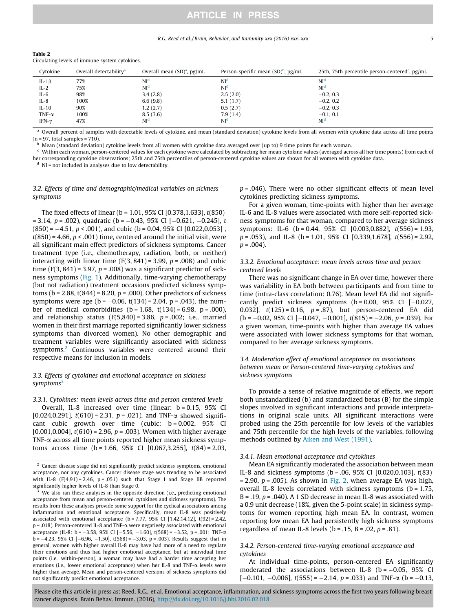#### R.G. Reed et al. / Brain, Behavior, and Immunity xxx (2016) xxx–xxx 5

| Table 2                                        |
|------------------------------------------------|
| Circulating levels of immune system cytokines. |

| Cytokine      | Overall detectability <sup>a</sup> | Overall mean $(SD)^{a}$ , pg/mL | Person-specific mean $(SD)^b$ , pg/mL | 25th, 75th percentile person-centered pg/mL |
|---------------|------------------------------------|---------------------------------|---------------------------------------|---------------------------------------------|
| IL-1 $\beta$  | 77%                                | NI <sup>d</sup>                 | NI <sup>d</sup>                       | NI <sup>d</sup>                             |
| $IL-2$        | 75%                                | NI <sup>d</sup>                 | NI <sup>d</sup>                       | NI <sup>d</sup>                             |
| $IL-6$        | 98%                                | 3.4(2.8)                        | 2.5(2.0)                              | $-0.2, 0.3$                                 |
| $IL-8$        | 100%                               | 6.6(9.8)                        | 5.1(1.7)                              | $-0.2, 0.2$                                 |
| $IL-10$       | 90%                                | 1.2(2.7)                        | 0.5(2.7)                              | $-0.2, 0.3$                                 |
| TNF- $\alpha$ | 100%                               | 8.5(3.6)                        | 7.9(1.4)                              | $-0.1, 0.1$                                 |
| IFN- $\gamma$ | 47%                                | NI <sup>d</sup>                 | NI <sup>d</sup>                       | NI <sup>d</sup>                             |

<sup>a</sup> Overall percent of samples with detectable levels of cytokine, and mean (standard deviation) cytokine levels from all women with cytokine data across all time points  $(n = 97, total samples = 710)$ .

 $\frac{b}{c}$  Mean (standard deviation) cytokine levels from all women with cytokine data averaged over (up to) 9 time points for each woman.

Within each woman, person-centered values for each cytokine were calculated by subtracting her mean cytokine values (averaged across all her time points) from each of her corresponding cytokine observations; 25th and 75th percentiles of person-centered cytokine values are shown for all women with cytokine data.

 $d$  NI = not included in analyses due to low detectability.

# 3.2. Effects of time and demographic/medical variables on sickness symptoms

The fixed effects of linear (b = 1.01, 95% CI [0.378,1.633], t(850)  $= 3.14$ ,  $p = .002$ ), quadratic (b  $= -0.43$ , 95% CI [ $-0.621$ ,  $-0.245$ ], t  $(850) = -4.51$ ,  $p < .001$ ), and cubic (b = 0.04, 95% CI [0.022,0.053],  $t(850) = 4.66$ ,  $p < .001$ ) time, centered around the initial visit, were all significant main effect predictors of sickness symptoms. Cancer treatment type (i.e., chemotherapy, radiation, both, or neither) interacting with linear time  $(F(3, 841) = 3.99, p = .008)$  and cubic time (F(3, 841) = 3.97,  $p = .008$ ) was a significant predictor of sickness symptoms (Fig. 1). Additionally, time-varying chemotherapy (but not radiation) treatment occasions predicted sickness symptoms ( $b = 2.88$ ,  $t(844) = 8.20$ ,  $p = .000$ ). Other predictors of sickness symptoms were age ( $b = -0.06$ , t(134) = 2.04, p = .043), the number of medical comorbidities ( $b = 1.68$ ,  $t(134) = 6.98$ ,  $p = .000$ ), and relationship status  $(F(5,840) = 3.86, p = .002; i.e., married$ women in their first marriage reported significantly lower sickness symptoms than divorced women). No other demographic and treatment variables were significantly associated with sickness symptoms.<sup>2</sup> Continuous variables were centered around their respective means for inclusion in models.

# 3.3. Effects of cytokines and emotional acceptance on sickness symptoms<sup>3</sup>

3.3.1. Cytokines: mean levels across time and person centered levels Overall, IL-8 increased over time (linear: b = 0.15, 95% CI [0.024,0.291],  $t(610) = 2.31$ ,  $p = .021$ ], and TNF- $\alpha$  showed significant cubic growth over time (cubic:  $b = 0.002$ ,  $95\%$  CI [0.001,0.004],  $t(610) = 2.96$ ,  $p = .003$ ]. Women with higher average TNF- $\alpha$  across all time points reported higher mean sickness symp-

toms across time ( $b = 1.66$ , 95% CI  $[0.067, 3.255]$ ,  $t(84) = 2.03$ ,

 $p = .046$ ). There were no other significant effects of mean level cytokines predicting sickness symptoms.

For a given woman, time-points with higher than her average IL-6 and IL-8 values were associated with more self-reported sickness symptoms for that woman, compared to her average sickness symptoms: IL-6 (b = 0.44, 95% CI [0.003,0.882], t(556) = 1.93,  $p = .053$ ), and IL-8 (b = 1.01, 95% CI [0.339,1.678],  $t(556) = 2.92$ ,  $p = .004$ ).

# 3.3.2. Emotional acceptance: mean levels across time and person centered levels

There was no significant change in EA over time, however there was variability in EA both between participants and from time to time (intra-class correlation: 0.76). Mean level EA did not significantly predict sickness symptoms  $(b = 0.00, 95\% \text{ CI } [-0.027,$ 0.032],  $t(125) = 0.16$ ,  $p = .87$ ), but person-centered EA did  $(b = -0.02, 95\% \text{ CI } [-0.047, -0.001], t(815) = -2.06, p = .039$ . For a given woman, time-points with higher than average EA values were associated with lower sickness symptoms for that woman, compared to her average sickness symptoms.

# 3.4. Moderation effect of emotional acceptance on associations between mean or Person-centered time-varying cytokines and sickness symptoms

To provide a sense of relative magnitude of effects, we report both unstandardized (b) and standardized betas (B) for the simple slopes involved in significant interactions and provide interpretations in original scale units. All significant interactions were probed using the 25th percentile for low levels of the variables and 75th percentile for the high levels of the variables, following methods outlined by Aiken and West (1991).

### 3.4.1. Mean emotional acceptance and cytokines

Mean EA significantly moderated the association between mean IL-8 and sickness symptoms ( $b = .06$ , 95% CI [0.020,0.103],  $t(83)$  $= 2.90$ ,  $p = .005$ ). As shown in Fig. 2, when average EA was high, overall IL-8 levels correlated with sickness symptoms (b = 1.75, B = .19,  $p = .040$ ). A 1 SD decrease in mean IL-8 was associated with a 0.9 unit decrease (18%, given the 5-point scale) in sickness symptoms for women reporting high mean EA. In contrast, women reporting low mean EA had persistently high sickness symptoms regardless of mean IL-8 levels ( $b = .15$ ,  $B = .02$ ,  $p = .81$ ).

# 3.4.2. Person-centered time-varying emotional acceptance and cytokines

At individual time-points, person-centered EA significantly moderated the associations between IL-8 ( $b = -0.05$ , 95% CI  $[-0.101, -0.006]$ ,  $t(555) = -2.14$ ,  $p = .033$ ) and TNF- $\alpha$  (b = -0.13,

<sup>&</sup>lt;sup>2</sup> Cancer disease stage did not significantly predict sickness symptoms, emotional acceptance, nor any cytokines. Cancer disease stage was trending to be associated with IL-8  $(F(4,91) = 2.46, p = .051)$  such that Stage I and Stage IIB reported significantly higher levels of IL-8 than Stage 0.

We also ran these analyses in the opposite direction (i.e., predicting emotional acceptance from mean and person-centered cytokines and sickness symptoms). The results from these analyses provide some support for the cyclical associations among inflammation and emotional acceptance. Specifically, mean IL-8 was positively associated with emotional acceptance (b = 7.77, 95% CI [1.42,14.12], t(92) = 2.42, p = .018). Person-centered IL-8 and TNF-a were negatively associated with emotional acceptance (IL-8: b = -3.58, 95% CI [-5.56, -1.60], t(568) = -3.52, p = .001; TNF- $\alpha$  $b = -4.23$ , 95% CI  $[-6.96, -1.50]$ , t(568) = -3.03, p = .003). Results suggest that in general, women with higher overall IL-8 may have had more of a need to regulate their emotions and thus had higher emotional acceptance, but at individual time points (i.e., within-person), a woman may have had a harder time accepting her emotions (i.e., lower emotional acceptance) when her IL-8 and TNF-a levels were higher than average. Mean and person-centered versions of sickness symptoms did not significantly predict emotional acceptance.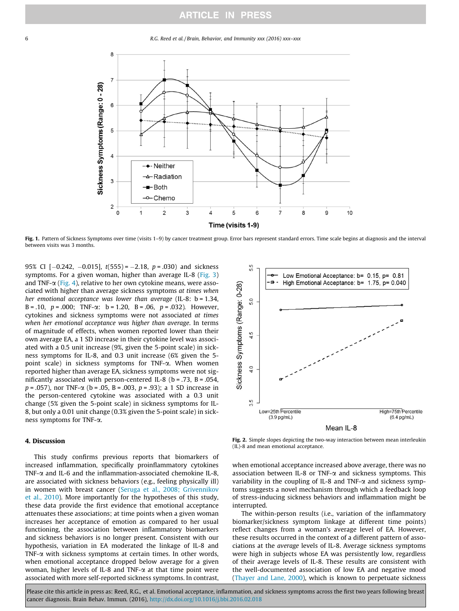6 R.G. Reed et al. / Brain, Behavior, and Immunity xxx (2016) xxx–xxx



Fig. 1. Pattern of Sickness Symptoms over time (visits 1-9) by cancer treatment group. Error bars represent standard errors. Time scale begins at diagnosis and the interval between visits was 3 months.

95% CI  $[-0.242, -0.015]$ ,  $t(555) = -2.18$ ,  $p = .030$ ) and sickness symptoms. For a given woman, higher than average IL-8 (Fig. 3) and TNF- $\alpha$  (Fig. 4), relative to her own cytokine means, were associated with higher than average sickness symptoms at times when her emotional acceptance was lower than average (IL-8:  $b = 1.34$ , B = .10,  $p = .000$ ; TNF- $\alpha$ : b = 1.20, B = .06, p = .032). However, cytokines and sickness symptoms were not associated at times when her emotional acceptance was higher than average. In terms of magnitude of effects, when women reported lower than their own average EA, a 1 SD increase in their cytokine level was associated with a 0.5 unit increase (9%, given the 5-point scale) in sickness symptoms for IL-8, and 0.3 unit increase (6% given the 5 point scale) in sickness symptoms for TNF-a. When women reported higher than average EA, sickness symptoms were not significantly associated with person-centered IL-8 ( $b = .73$ ,  $B = .054$ ,  $p = .057$ ), nor TNF- $\alpha$  (b = .05, B = .003, p = .93); a 1 SD increase in the person-centered cytokine was associated with a 0.3 unit change (5% given the 5-point scale) in sickness symptoms for IL-8, but only a 0.01 unit change (0.3% given the 5-point scale) in sickness symptoms for TNF-a.

# 4. Discussion

This study confirms previous reports that biomarkers of increased inflammation, specifically proinflammatory cytokines TNF- $\alpha$  and IL-6 and the inflammation-associated chemokine IL-8, are associated with sickness behaviors (e.g., feeling physically ill) in women with breast cancer (Seruga et al., 2008; Grivennikov et al., 2010). More importantly for the hypotheses of this study, these data provide the first evidence that emotional acceptance attenuates these associations; at time points when a given woman increases her acceptance of emotion as compared to her usual functioning, the association between inflammatory biomarkers and sickness behaviors is no longer present. Consistent with our hypothesis, variation in EA moderated the linkage of IL-8 and TNF- $\alpha$  with sickness symptoms at certain times. In other words, when emotional acceptance dropped below average for a given woman, higher levels of IL-8 and TNF- $\alpha$  at that time point were associated with more self-reported sickness symptoms. In contrast,



Fig. 2. Simple slopes depicting the two-way interaction between mean interleukin (IL)-8 and mean emotional acceptance.

when emotional acceptance increased above average, there was no association between IL-8 or TNF- $\alpha$  and sickness symptoms. This variability in the coupling of IL-8 and TNF- $\alpha$  and sickness symptoms suggests a novel mechanism through which a feedback loop of stress-inducing sickness behaviors and inflammation might be interrupted.

The within-person results (i.e., variation of the inflammatory biomarker/sickness symptom linkage at different time points) reflect changes from a woman's average level of EA. However, these results occurred in the context of a different pattern of associations at the average levels of IL-8. Average sickness symptoms were high in subjects whose EA was persistently low, regardless of their average levels of IL-8. These results are consistent with the well-documented association of low EA and negative mood (Thayer and Lane, 2000), which is known to perpetuate sickness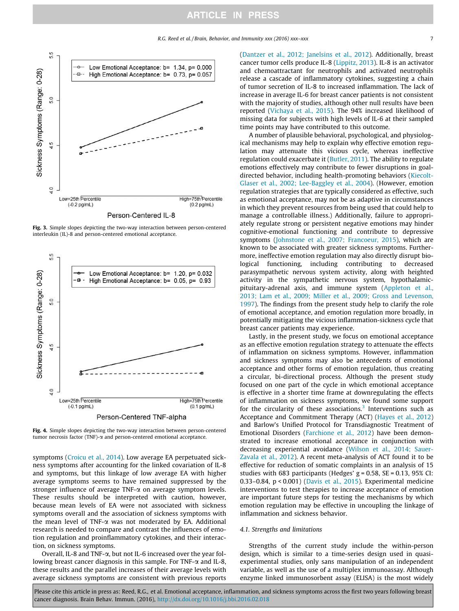

Fig. 3. Simple slopes depicting the two-way interaction between person-centered interleukin (IL)-8 and person-centered emotional acceptance.



Fig. 4. Simple slopes depicting the two-way interaction between person-centered tumor necrosis factor (TNF)- $\alpha$  and person-centered emotional acceptance.

symptoms (Croicu et al., 2014). Low average EA perpetuated sickness symptoms after accounting for the linked covariation of IL-8 and symptoms, but this linkage of low average EA with higher average symptoms seems to have remained suppressed by the stronger influence of average TNF- $\alpha$  on average symptom levels. These results should be interpreted with caution, however, because mean levels of EA were not associated with sickness symptoms overall and the association of sickness symptoms with the mean level of TNF- $\alpha$  was not moderated by EA. Additional research is needed to compare and contrast the influences of emotion regulation and proinflammatory cytokines, and their interaction, on sickness symptoms.

Overall, IL-8 and TNF- $\alpha$ , but not IL-6 increased over the year following breast cancer diagnosis in this sample. For TNF- $\alpha$  and IL-8, these results and the parallel increases of their average levels with average sickness symptoms are consistent with previous reports (Dantzer et al., 2012; Janelsins et al., 2012). Additionally, breast cancer tumor cells produce IL-8 (Lippitz, 2013). IL-8 is an activator and chemoattractant for neutrophils and activated neutrophils release a cascade of inflammatory cytokines, suggesting a chain of tumor secretion of IL-8 to increased inflammation. The lack of increase in average IL-6 for breast cancer patients is not consistent with the majority of studies, although other null results have been reported (Vichaya et al., 2015). The 94% increased likelihood of missing data for subjects with high levels of IL-6 at their sampled time points may have contributed to this outcome.

A number of plausible behavioral, psychological, and physiological mechanisms may help to explain why effective emotion regulation may attenuate this vicious cycle, whereas ineffective regulation could exacerbate it (Butler, 2011). The ability to regulate emotions effectively may contribute to fewer disruptions in goaldirected behavior, including health-promoting behaviors (Kiecolt-Glaser et al., 2002; Lee-Baggley et al., 2004). (However, emotion regulation strategies that are typically considered as effective, such as emotional acceptance, may not be as adaptive in circumstances in which they prevent resources from being used that could help to manage a controllable illness.) Additionally, failure to appropriately regulate strong or persistent negative emotions may hinder cognitive-emotional functioning and contribute to depressive symptoms (Johnstone et al., 2007; Francoeur, 2015), which are known to be associated with greater sickness symptoms. Furthermore, ineffective emotion regulation may also directly disrupt biological functioning, including contributing to decreased parasympathetic nervous system activity, along with heighted activity in the sympathetic nervous system, hypothalamicpituitary-adrenal axis, and immune system (Appleton et al., 2013; Lam et al., 2009; Miller et al., 2009; Gross and Levenson, 1997). The findings from the present study help to clarify the role of emotional acceptance, and emotion regulation more broadly, in potentially mitigating the vicious inflammation-sickness cycle that breast cancer patients may experience.

Lastly, in the present study, we focus on emotional acceptance as an effective emotion regulation strategy to attenuate the effects of inflammation on sickness symptoms. However, inflammation and sickness symptoms may also be antecedents of emotional acceptance and other forms of emotion regulation, thus creating a circular, bi-directional process. Although the present study focused on one part of the cycle in which emotional acceptance is effective in a shorter time frame at downregulating the effects of inflammation on sickness symptoms, we found some support for the circularity of these associations.<sup>3</sup> Interventions such as Acceptance and Commitment Therapy (ACT) (Hayes et al., 2012) and Barlow's Unified Protocol for Transdiagnostic Treatment of Emotional Disorders (Farchione et al., 2012) have been demonstrated to increase emotional acceptance in conjunction with decreasing experiential avoidance (Wilson et al., 2014; Sauer-Zavala et al., 2012). A recent meta-analysis of ACT found it to be effective for reduction of somatic complaints in an analysis of 15 studies with 683 participants (Hedges'  $g = 0.58$ ,  $SE = 0.13$ , 95% CI: 0.33–0.84, p < 0.001) (Davis et al., 2015). Experimental medicine interventions to test therapies to increase acceptance of emotion are important future steps for testing the mechanisms by which emotion regulation may be effective in uncoupling the linkage of inflammation and sickness behavior.

#### 4.1. Strengths and limitations

Strengths of the current study include the within-person design, which is similar to a time-series design used in quasiexperimental studies, only sans manipulation of an independent variable, as well as the use of a multiplex immunoassay. Although enzyme linked immunosorbent assay (ELISA) is the most widely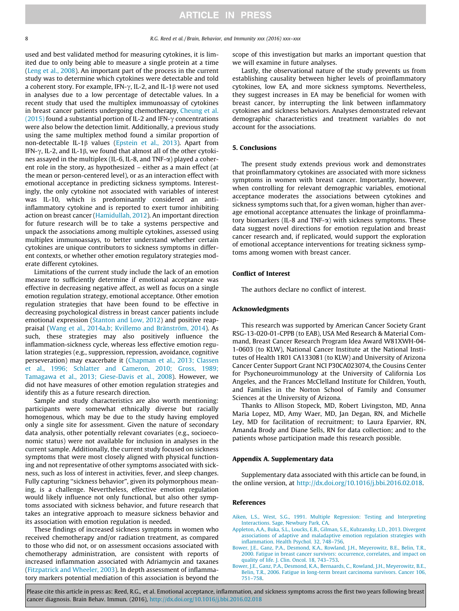used and best validated method for measuring cytokines, it is limited due to only being able to measure a single protein at a time (Leng et al., 2008). An important part of the process in the current study was to determine which cytokines were detectable and told a coherent story. For example, IFN- $\gamma$ , IL-2, and IL-1 $\beta$  were not used in analyses due to a low percentage of detectable values. In a recent study that used the multiplex immunoassay of cytokines in breast cancer patients undergoing chemotherapy, Cheung et al. (2015) found a substantial portion of IL-2 and IFN- $\gamma$  concentrations were also below the detection limit. Additionally, a previous study using the same multiplex method found a similar proportion of non-detectable IL-1 $\beta$  values (Epstein et al., 2013). Apart from IFN- $\gamma$ , IL-2, and IL-1 $\beta$ , we found that almost all of the other cytokines assayed in the multiplex (IL-6, IL-8, and TNF- $\alpha$ ) played a coherent role in the story, as hypothesized – either as a main effect (at the mean or person-centered level), or as an interaction effect with emotional acceptance in predicting sickness symptoms. Interestingly, the only cytokine not associated with variables of interest was IL-10, which is predominantly considered an antiinflammatory cytokine and is reported to exert tumor inhibiting action on breast cancer (Hamidullah, 2012). An important direction for future research will be to take a systems perspective and unpack the associations among multiple cytokines, assessed using multiplex immunoassays, to better understand whether certain cytokines are unique contributors to sickness symptoms in different contexts, or whether other emotion regulatory strategies moderate different cytokines.

Limitations of the current study include the lack of an emotion measure to sufficiently determine if emotional acceptance was effective in decreasing negative affect, as well as focus on a single emotion regulation strategy, emotional acceptance. Other emotion regulation strategies that have been found to be effective in decreasing psychological distress in breast cancer patients include emotional expression (Stanton and Low, 2012) and positive reappraisal (Wang et al., 2014a,b; Kvillemo and Bränström, 2014). As such, these strategies may also positively influence the inflammation-sickness cycle, whereas less effective emotion regulation strategies (e.g., suppression, repression, avoidance, cognitive perseveration) may exacerbate it (Chapman et al., 2013; Classen et al., 1996; Schlatter and Cameron, 2010; Gross, 1989; Tamagawa et al., 2013; Giese-Davis et al., 2008). However, we did not have measures of other emotion regulation strategies and identify this as a future research direction.

Sample and study characteristics are also worth mentioning: participants were somewhat ethnically diverse but racially homogenous, which may be due to the study having employed only a single site for assessment. Given the nature of secondary data analysis, other potentially relevant covariates (e.g., socioeconomic status) were not available for inclusion in analyses in the current sample. Additionally, the current study focused on sickness symptoms that were most closely aligned with physical functioning and not representative of other symptoms associated with sickness, such as loss of interest in activities, fever, and sleep changes. Fully capturing ''sickness behavior", given its polymorphous meaning, is a challenge. Nevertheless, effective emotion regulation would likely influence not only functional, but also other symptoms associated with sickness behavior, and future research that takes an integrative approach to measure sickness behavior and its association with emotion regulation is needed.

These findings of increased sickness symptoms in women who received chemotherapy and/or radiation treatment, as compared to those who did not, or on assessment occasions associated with chemotherapy administration, are consistent with reports of increased inflammation associated with Adriamycin and taxanes (Fitzpatrick and Wheeler, 2003). In depth assessment of inflammatory markers potential mediation of this association is beyond the scope of this investigation but marks an important question that we will examine in future analyses.

Lastly, the observational nature of the study prevents us from establishing causality between higher levels of proinflammatory cytokines, low EA, and more sickness symptoms. Nevertheless, they suggest increases in EA may be beneficial for women with breast cancer, by interrupting the link between inflammatory cytokines and sickness behaviors. Analyses demonstrated relevant demographic characteristics and treatment variables do not account for the associations.

# 5. Conclusions

The present study extends previous work and demonstrates that proinflammatory cytokines are associated with more sickness symptoms in women with breast cancer. Importantly, however, when controlling for relevant demographic variables, emotional acceptance moderates the associations between cytokines and sickness symptoms such that, for a given woman, higher than average emotional acceptance attenuates the linkage of proinflammatory biomarkers (IL-8 and TNF- $\alpha$ ) with sickness symptoms. These data suggest novel directions for emotion regulation and breast cancer research and, if replicated, would support the exploration of emotional acceptance interventions for treating sickness symptoms among women with breast cancer.

# Conflict of Interest

The authors declare no conflict of interest.

## Acknowledgments

This research was supported by American Cancer Society Grant RSG-13-020-01-CPPB (to EAB), USA Med Research & Material Command, Breast Cancer Research Program Idea Award W81XWH-04- 1-0603 (to KLW), National Cancer Institute at the National Institutes of Health 1R01 CA133081 (to KLW) and University of Arizona Cancer Center Support Grant NCI P30CA023074, the Cousins Center for Psychoneuroimmunology at the University of California Los Angeles, and the Frances McClelland Institute for Children, Youth, and Families in the Norton School of Family and Consumer Sciences at the University of Arizona.

Thanks to Allison Stopeck, MD, Robert Livingston, MD, Anna Maria Lopez, MD, Amy Waer, MD, Jan Degan, RN, and Michelle Ley, MD for facilitation of recruitment; to Laura Eparvier, RN, Amanda Brody and Diane Sells, RN for data collection; and to the patients whose participation made this research possible.

## Appendix A. Supplementary data

Supplementary data associated with this article can be found, in the online version, at http://dx.doi.org/10.1016/j.bbi.2016.02.018.

#### References

- Aiken, L.S., West, S.G., 1991. Multiple Regression: Testing and Interpreting Interactions. Sage, Newbury Park, CA.
- Appleton, A.A., Buka, S.L., Loucks, E.B., Gilman, S.E., Kubzansky, L.D., 2013. Divergent associations of adaptive and maladaptive emotion regulation strategies with inflammation. Health Psychol. 32, 748–756.
- Bower, J.E., Ganz, P.A., Desmond, K.A., Rowland, J.H., Meyerowitz, B.E., Belin, T.R., 2000. Fatigue in breast cancer survivors: occurrence, correlates, and impact on quality of life. J. Clin. Oncol. 18, 743–753.
- Bower, J.E., Ganz, P.A., Desmond, K.A., Bernaards, C., Rowland, J.H., Meyerowitz, B.E., Belin, T.R., 2006. Fatigue in long-term breast carcinoma survivors. Cancer 106, 751–758.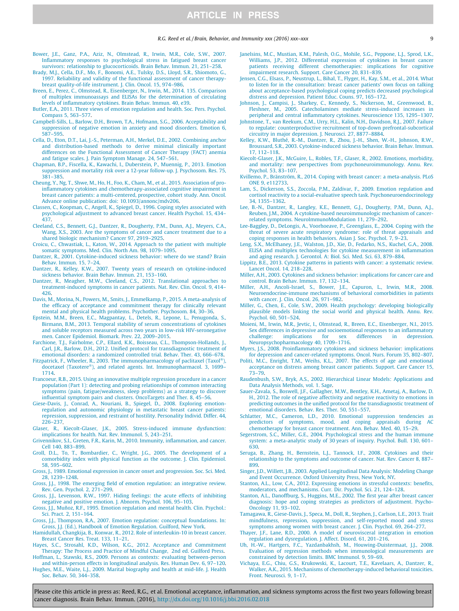#### R.G. Reed et al. / Brain, Behavior, and Immunity xxx (2016) xxx–xxx 9 (2016) 9

- Bower, J.E., Ganz, P.A., Aziz, N., Olmstead, R., Irwin, M.R., Cole, S.W., 2007. Inflammatory responses to psychological stress in fatigued breast cancer survivors: relationship to glucocorticoids. Brain Behav. Immun. 21, 251–258.
- Brady, M.J., Cella, D.F., Mo, F., Bonomi, A.E., Tulsky, D.S., Lloyd, S.R., Shiomoto, G., 1997. Reliability and validity of the functional assessment of cancer therapybreast quality-of-life instrument. J. Clin. Oncol. 15, 974–986.
- Breen, E., Perez, C., Olmstead, R., Eisenberger, N., Irwin, M., 2014. 135. Comparison of multiplex immunoassays and ELISAs for the determination of circulating levels of inflammatory cytokines. Brain Behav. Immun. 40, e39.
- Butler, E.A., 2011. Three views of emotion regulation and health. Soc. Pers. Psychol. Compass 5, 563–577.
- Campbell-Sills, L., Barlow, D.H., Brown, T.A., Hofmann, S.G., 2006. Acceptability and suppression of negative emotion in anxiety and mood disorders. Emotion 6, 587–595.
- Cella, D., Eton, D.T., Lai, J.-S., Peterman, A.H., Merkel, D.E., 2002. Combining anchor and distribution-based methods to derive minimal clinically important differences on the Functional Assessment of Cancer Therapy (FACT) anemia and fatigue scales. J. Pain Symptom Manage. 24, 547–561.
- Chapman, B.P., Fiscella, K., Kawachi, I., Duberstein, P., Muennig, P., 2013. Emotion suppression and mortality risk over a 12-year follow-up. J. Psychosom. Res. 75, 381–385.
- Cheung, Y., Ng, T., Shwe, M., Ho, H., Foo, K., Cham, M., et al., 2015. Association of proinflammatory cytokines and chemotherapy-associated cognitive impairment in breast cancer patients: a multi-centered, prospective, cohort study. Ann. Oncol. Advance online publication: doi: 10.1093/annonc/mdv206.
- Classen, C., Koopman, C., Angell, K., Spiegel, D., 1996. Coping styles associated with psychological adjustment to advanced breast cancer. Health Psychol. 15, 434– 437.
- Cleeland, C.S., Bennett, G.J., Dantzer, R., Dougherty, P.M., Dunn, A.J., Meyers, C.A., Wang, X.S., 2003. Are the symptoms of cancer and cancer treatment due to a shared biologic mechanism? Cancer 97, 2919–2925.
- Croicu, C., Chwastiak, L., Katon, W., 2014. Approach to the patient with multiple somatic symptoms. Med. Clin. North Am. 98, 1079–1095.
- Dantzer, R., 2001. Cytokine-induced sickness behavior: where do we stand? Brain Behav. Immun. 15, 7–24.
- Dantzer, R., Kelley, K.W., 2007. Twenty years of research on cytokine-induced sickness behavior. Brain Behav. Immun. 21, 153–160.
- Dantzer, R., Meagher, M.W., Cleeland, C.S., 2012. Translational approaches to treatment-induced symptoms in cancer patients. Nat. Rev. Clin. Oncol. 9, 414– 426.
- Davis, M., Morina, N., Powers, M., Smits, J., Emmelkamp, P., 2015. A meta-analysis of the efficacy of acceptance and commitment therapy for clinically relevant mental and physical health problems. Psychother. Psychosom. 84, 30–36.
- Epstein, M.M., Breen, E.C., Magpantay, L., Detels, R., Lepone, L., Penugonda, S., Birmann, B.M., 2013. Temporal stability of serum concentrations of cytokines and soluble receptors measured across two years in low-risk HIV-seronegative men. Cancer Epidemiol. Biomark. Prev. 22, 2009–2015.
- Farchione, T.J., Fairholme, C.P., Ellard, K.K., Boisseau, C.L., Thompson-Hollands, J., Carl, J.R., Barlow, D.H., 2012. Unified protocol for transdiagnostic treatment of emotional disorders: a randomized controlled trial. Behav. Ther. 43, 666–678.
- Fitzpatrick, F., Wheeler, R., 2003. The immunopharmacology of paclitaxel (Taxol<sup>®</sup>). docetaxel (Taxotere), and related agents. Int. Immunopharmacol. 3, 1699– 1714.
- Francoeur, R.B., 2015. Using an innovative multiple regression procedure in a cancer population (Part 1): detecting and probing relationships of common interacting symptoms (pain, fatigue/weakness, sleep problems) as a strategy to discover influential symptom pairs and clusters. OncoTargets and Ther. 8, 45–56.
- Giese-Davis, J., Conrad, A., Nouriani, B., Spiegel, D., 2008. Exploring emotionregulation and autonomic physiology in metastatic breast cancer patients: repression, suppression, and restraint of hostility. Personality Individ. Differ. 44, 226–237.
- Glaser, R., Kiecolt-Glaser, J.K., 2005. Stress-induced immune dysfunction: implications for health. Nat. Rev. Immunol. 5, 243–251.
- Grivennikov, S.I., Greten, F.R., Karin, M., 2010. Immunity, inflammation, and cancer. Cell 140, 883–899.
- Groll, D.L., To, T., Bombardier, C., Wright, J.G., 2005. The development of a comorbidity index with physical function as the outcome. J. Clin. Epidemiol. 58, 595–602.
- Gross, J., 1989. Emotional expression in cancer onset and progression. Soc. Sci. Med. 28, 1239–1248.
- Gross, J.J., 1998. The emerging field of emotion regulation: an integrative review. Rev. Gen. Psychol. 2, 271–299.
- Gross, J.J., Levenson, R.W., 1997. Hiding feelings: the acute effects of inhibiting negative and positive emotion. J. Abnorm. Psychol. 106, 95–103.
- Gross, J.J., Muñoz, R.F., 1995. Emotion regulation and mental health. Clin. Psychol.: Sci. Pract. 2, 151–164.
- Gross, J.J., Thompson, R.A., 2007. Emotion regulation: conceptual foundations. In: Gross, J.J. (Ed.), Handbook of Emotion Regulation. Guilford, New York.
- Hamidullah, Changkija, B., Konwar, R., 2012. Role of interleukin-10 in breast cancer. Breast Cancer Res. Treat. 133, 11–21.
- Hayes, S.C., Strosahl, K.D., Wilson, K.G., 2012. Acceptance and Commitment Therapy: The Process and Practice of Mindful Change, 2nd ed. Guilford Press.
- Hoffman, L., Stawski, R.S., 2009. Persons as contexts: evaluating between-person and within-person effects in longitudinal analysis. Res. Human Dev. 6, 97–120.
- Hughes, M.E., Waite, L.J., 2009. Marital biography and health at mid-life. J. Health Soc. Behav. 50, 344–358.
- Janelsins, M.C., Mustian, K.M., Palesh, O.G., Mohile, S.G., Peppone, L.J., Sprod, L.K., Williams, J.P., 2012. Differential expression of cytokines in breast cancer patients receiving different chemotherapies: implications for cognitive impairment research. Support. Care Cancer 20, 831–839.
- Jensen, C.G., Elsass, P., Neustrup, L., Bihal, T., Flyger, H., Kay, S.M., et al., 2014. What to listen for in the consultation: breast cancer patients' own focus on talking about acceptance-based psychological coping predicts decreased psychological distress and depression. Patient Educ. Couns. 97, 165–172.
- Johnson, J., Campisi, J., Sharkey, C., Kennedy, S., Nickerson, M., Greenwood, B., Fleshner, M., 2005. Catecholamines mediate stress-induced increases in peripheral and central inflammatory cytokines. Neuroscience 135, 1295–1307.
- Johnstone, T., van Reekum, C.M., Urry, H.L., Kalin, N.H., Davidson, R.J., 2007. Failure to regulate: counterproductive recruitment of top-down prefrontal-subcortical circuitry in major depression. J. Neurosci. 27, 8877–8884.
- Kelley, K.W., Bluthé, R.-M., Dantzer, R., Zhou, J.-H., Shen, W.-H., Johnson, R.W., Broussard, S.R., 2003. Cytokine-induced sickness behavior. Brain Behav. Immun. 17, 112–118.
- Kiecolt-Glaser, J.K., McGuire, L., Robles, T.F., Glaser, R., 2002. Emotions, morbidity, and mortality: new perspectives from psychoneuroimmunology. Annu. Rev. Psychol. 53, 83–107.
- Kvillemo, P., Bränström, R., 2014. Coping with breast cancer: a meta-analysis. PLoS ONE 9, e112733.
- Lam, S., Dickerson, S.S., Zoccola, P.M., Zaldivar, F., 2009. Emotion regulation and cortisol reactivity to a social-evaluative speech task. Psychoneuroendocrinology 34, 1355–1362.
- Lee, B.-N., Dantzer, R., Langley, K.E., Bennett, G.J., Dougherty, P.M., Dunn, A.J., Reuben, J.M., 2004. A cytokine-based neuroimmunologic mechanism of cancerrelated symptoms. NeuroImmunoModulation 11, 279–292.
- Lee-Baggley, D., DeLongis, A., Voorhoeave, P., Greenglass, E., 2004. Coping with the threat of severe acute respiratory syndrome: role of threat appraisals and coping responses in health behaviors. Asian J. Soc. Psychol. 7, 9–23.
- Leng, S.X., McElhaney, J.E., Walston, J.D., Xie, D., Fedarko, N.S., Kuchel, G.A., 2008. ELISA and multiplex technologies for cytokine measurement in inflammation and aging research. J. Gerontol. A: Biol. Sci. Med. Sci. 63, 879–884.
- Lippitz, B.E., 2013. Cytokine patterns in patients with cancer: a systematic review. Lancet Oncol. 14, 218–228.
- Miller, A.H., 2003. Cytokines and sickness behavior: implications for cancer care and control. Brain Behav. Immun. 17, 132–134.
- Miller, A.H., Ancoli-Israel, S., Bower, J.E., Capuron, L., Irwin, M.R., 2008. Neuroendocrine-immune mechanisms of behavioral comorbidities in patients with cancer. J. Clin. Oncol. 26, 971–982.
- Miller, G., Chen, E., Cole, S.W., 2009. Health psychology: developing biologically plausible models linking the social world and physical health. Annu. Rev. Psychol. 60, 501–524.
- Moieni, M., Irwin, M.R., Jevtic, I., Olmstead, R., Breen, E.C., Eisenberger, N.I., 2015. Sex differences in depressive and socioemotional responses to an inflammatory challenge: implications for sex differences in depression. implications for sex differences in depression. Neuropsychopharmacology 40, 1709–1716.
- Myers, J.S., 2008. Proinflammatory cytokines and sickness behavior: implications for depression and cancer-related symptoms. Oncol. Nurs. Forum 35, 802–807.
- Politi, M.C., Enright, T.M., Weihs, K.L., 2007. The effects of age and emotional acceptance on distress among breast cancer patients. Support. Care Cancer 15, 73–79.
- Raudenbush, S.W., Bryk, A.S., 2002. Hierarchical Linear Models: Applications and Data Analysis Methods, vol. 1. Sage.
- Sauer-Zavala, S., Boswell, J.F., Gallagher, M.W., Bentley, K.H., Ametaj, A., Barlow, D. H., 2012. The role of negative affectivity and negative reactivity to emotions in predicting outcomes in the unified protocol for the transdiagnostic treatment of emotional disorders. Behav. Res. Ther. 50, 551–557.
- Schlatter, M.C., Cameron, L.D., 2010. Emotional suppression tendencies as predictors of symptoms, mood, and coping appraisals during AC
- chemotherapy for breast cancer treatment. Ann. Behav. Med. 40, 15–29. Segerstrom, S.C., Miller, G.E., 2004. Psychological stress and the human immune system: a meta-analytic study of 30 years of inquiry. Psychol. Bull. 130, 601– 630.
- Seruga, B., Zhang, H., Bernstein, L.J., Tannock, I.F., 2008. Cytokines and their relationship to the symptoms and outcome of cancer. Nat. Rev. Cancer 8, 887– 899.
- Singer, J.D., Willett, J.B., 2003. Applied Longitudinal Data Analysis: Modeling Change and Event Occurrence. Oxford University Press, New York, NY.
- Stanton, A.L., Low, C.A., 2012. Expressing emotions in stressful contexts: benefits, moderators, and mechanisms. Curr. Dir. Psychol. Sci. 21, 124–128.
- Stanton, A.L., Danoffburg, S., Huggins, M.E., 2002. The first year after breast cancer diagnosis: hope and coping strategies as predictors of adjustment. Psycho-Oncology 11, 93–102.
- Tamagawa, R., Giese-Davis, J., Speca, M., Doll, R., Stephen, J., Carlson, L.E., 2013. Trait mindfulness, repression, suppression, and self-reported mood and stress symptoms among women with breast cancer. J. Clin. Psychol. 69, 264–277.
- Thayer, J.F., Lane, R.D., 2000. A model of neurovisceral integration in emotion regulation and dysregulation. J. Affect. Disord. 61, 201–216.
- Uh, H.-W., Hartgers, F.C., Yazdanbakhsh, M., Houwing-Duistermaat, J.J., 2008. Evaluation of regression methods when immunological measurements are constrained by detection limits. BMC Immunol. 9, 59–69.
- Vichaya, E.G., Chiu, G.S., Krukowski, K., Lacourt, T.E., Kavelaars, A., Dantzer, R., Walker, A.K., 2015. Mechanisms of chemotherapy-induced behavioral toxicities. Front. Neurosci. 9, 1–17.